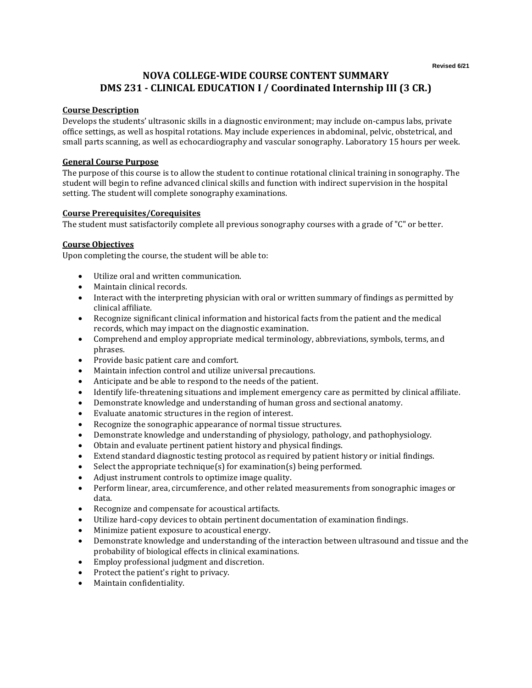# **NOVA COLLEGE-WIDE COURSE CONTENT SUMMARY DMS 231 - CLINICAL EDUCATION I / Coordinated Internship III (3 CR.)**

### **Course Description**

Develops the students' ultrasonic skills in a diagnostic environment; may include on-campus labs, private office settings, as well as hospital rotations. May include experiences in abdominal, pelvic, obstetrical, and small parts scanning, as well as echocardiography and vascular sonography. Laboratory 15 hours per week.

### **General Course Purpose**

The purpose of this course is to allow the student to continue rotational clinical training in sonography. The student will begin to refine advanced clinical skills and function with indirect supervision in the hospital setting. The student will complete sonography examinations.

### **Course Prerequisites/Corequisites**

The student must satisfactorily complete all previous sonography courses with a grade of "C" or better.

#### **Course Objectives**

Upon completing the course, the student will be able to:

- Utilize oral and written communication.
- Maintain clinical records.
- Interact with the interpreting physician with oral or written summary of findings as permitted by clinical affiliate.
- Recognize significant clinical information and historical facts from the patient and the medical records, which may impact on the diagnostic examination.
- Comprehend and employ appropriate medical terminology, abbreviations, symbols, terms, and phrases.
- Provide basic patient care and comfort.
- Maintain infection control and utilize universal precautions.
- Anticipate and be able to respond to the needs of the patient.
- Identify life-threatening situations and implement emergency care as permitted by clinical affiliate.
- Demonstrate knowledge and understanding of human gross and sectional anatomy.
- Evaluate anatomic structures in the region of interest.
- Recognize the sonographic appearance of normal tissue structures.
- Demonstrate knowledge and understanding of physiology, pathology, and pathophysiology.
- Obtain and evaluate pertinent patient history and physical findings.
- Extend standard diagnostic testing protocol as required by patient history or initial findings.
- Select the appropriate technique(s) for examination(s) being performed.
- Adjust instrument controls to optimize image quality.
- Perform linear, area, circumference, and other related measurements from sonographic images or data.
- Recognize and compensate for acoustical artifacts.
- Utilize hard-copy devices to obtain pertinent documentation of examination findings.
- Minimize patient exposure to acoustical energy.
- Demonstrate knowledge and understanding of the interaction between ultrasound and tissue and the probability of biological effects in clinical examinations.
- Employ professional judgment and discretion.
- Protect the patient's right to privacy.
- Maintain confidentiality.